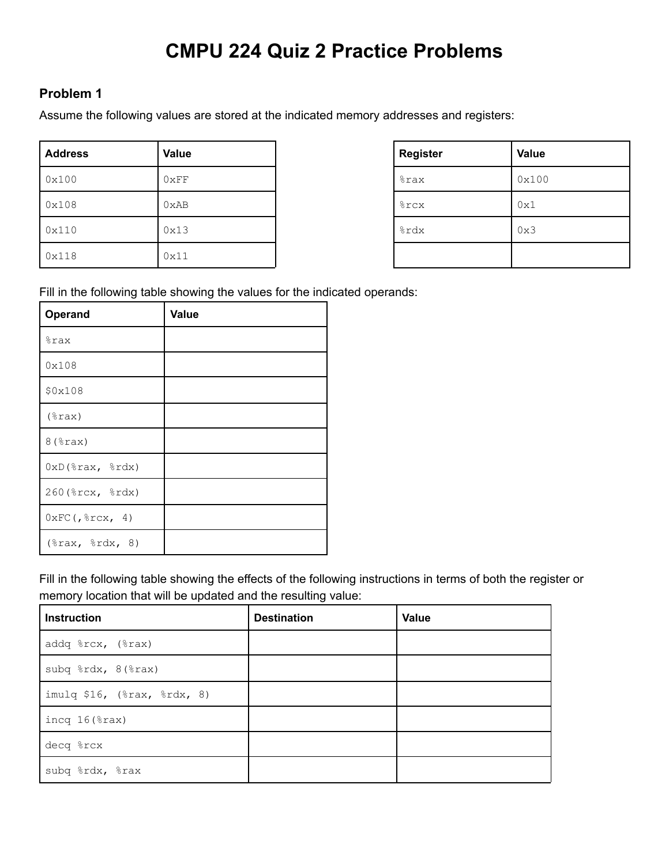# **CMPU 224 Quiz 2 Practice Problems**

#### **Problem 1**

Assume the following values are stored at the indicated memory addresses and registers:

| <b>Address</b> | Value | <b>Register</b>    | <b>Value</b> |
|----------------|-------|--------------------|--------------|
| 0x100          | 0xFF  | <i><b>%rax</b></i> | 0x100        |
| 0x108          | 0xAB  | <b>&amp;rcx</b>    | 0x1          |
| 0x110          | 0x13  | %rdx               | 0x3          |
| 0x118          | 0x11  |                    |              |

| <b>Register</b> | Value |
|-----------------|-------|
| %rax            | 0x100 |
| %rcx            | 0x1   |
| %rdx            | 0x3   |
|                 |       |

Fill in the following table showing the values for the indicated operands:

| <b>Operand</b>                      | Value |
|-------------------------------------|-------|
| %rax                                |       |
| 0x108                               |       |
| \$0x108                             |       |
| $(*\text{rax})$                     |       |
| $8$ ( $\text{grav}$ )               |       |
| $0xD$ (%rax, %rdx)                  |       |
| 260 (%rcx, %rdx)                    |       |
| $0 \times FC$ (, $\text{srcx}$ , 4) |       |
| $(\$rax, $rdx, 8)$                  |       |

Fill in the following table showing the effects of the following instructions in terms of both the register or memory location that will be updated and the resulting value:

| <b>Instruction</b>          | <b>Destination</b> | Value |
|-----------------------------|--------------------|-------|
| addq %rcx, (%rax)           |                    |       |
| subq %rdx, 8(%rax)          |                    |       |
| imulq \$16, (%rax, %rdx, 8) |                    |       |
| incq $16$ ( $\text{grav}$ ) |                    |       |
| decq %rcx                   |                    |       |
| subq %rdx, %rax             |                    |       |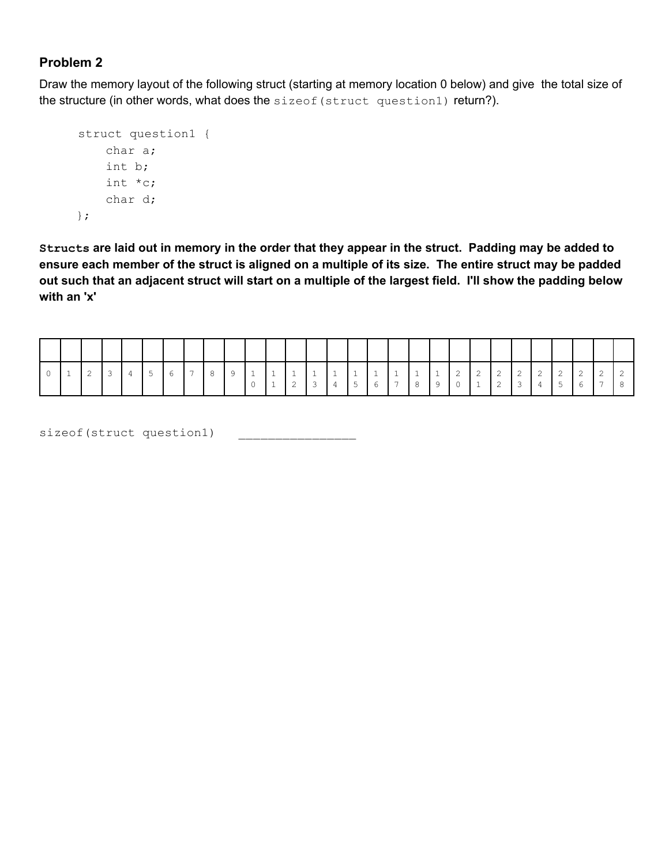Draw the memory layout of the following struct (starting at memory location 0 below) and give the total size of the structure (in other words, what does the sizeof (struct question1) return?).

```
struct question1 {
    char a;
    int b;
    int *c;
    char d;
};
```
Structs are laid out in memory in the order that they appear in the struct. Padding may be added to ensure each member of the struct is aligned on a multiple of its size. The entire struct may be padded out such that an adjacent struct will start on a multiple of the largest field. I'll show the padding below **with an 'x'**

|  | $\overline{2}$ | $\overline{3}$ | $\frac{1}{4}$ |  |  |  | $\sim$ | $\begin{array}{c c} 3 & 4 \end{array}$ |  |  | 15678901234 |  |  |  |  |  |
|--|----------------|----------------|---------------|--|--|--|--------|----------------------------------------|--|--|-------------|--|--|--|--|--|

sizeof(struct question1)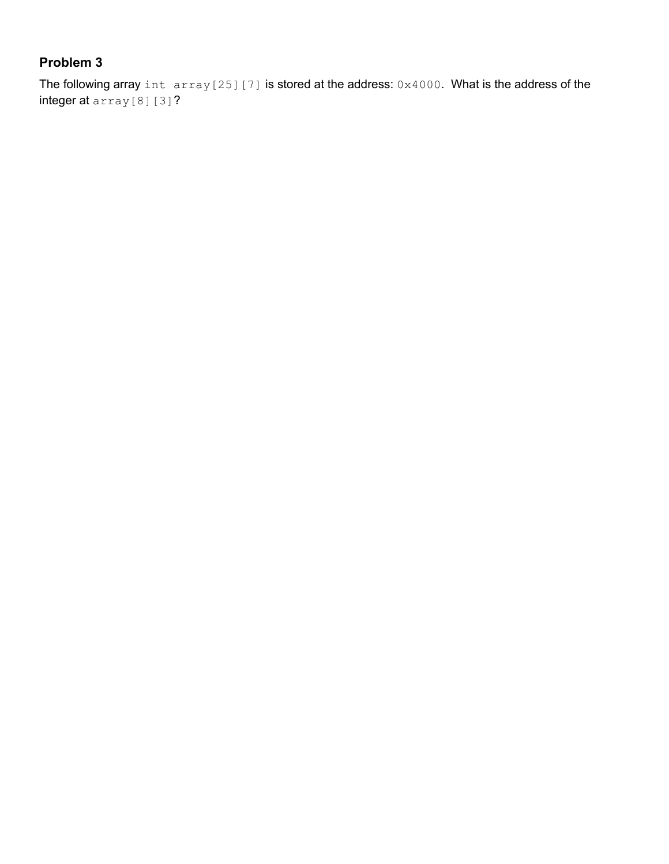The following array int  $array[17]$  is stored at the address:  $0 \times 4000$ . What is the address of the integer at array[8][3]?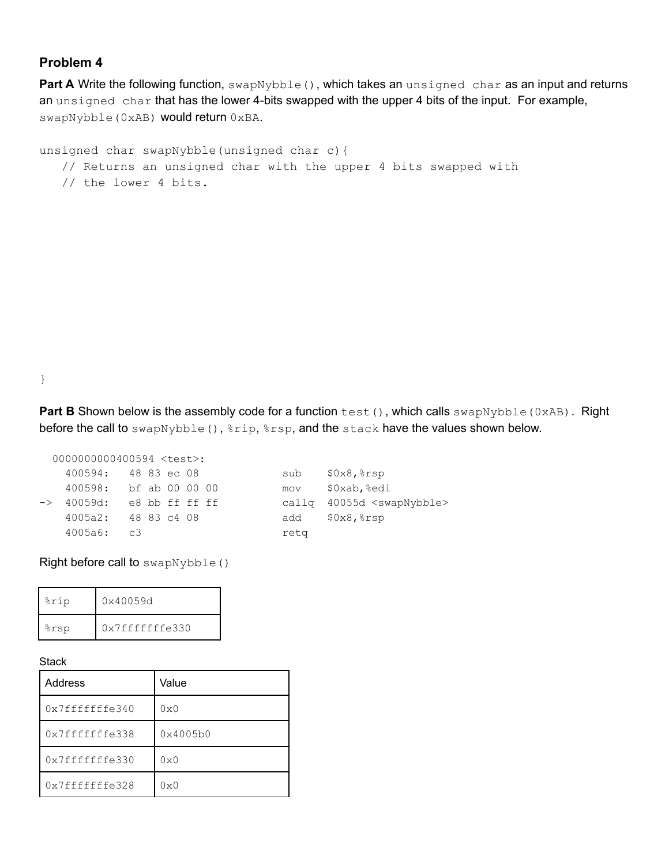Part A Write the following function, swapNybble(), which takes an unsigned char as an input and returns an unsigned char that has the lower 4-bits swapped with the upper 4 bits of the input. For example, swapNybble(0xAB) would return 0xBA.

```
unsigned char swapNybble(unsigned char c){
   // Returns an unsigned char with the upper 4 bits swapped with
   // the lower 4 bits.
```
}

**Part B** Shown below is the assembly code for a function test(), which calls swapNybble(0xAB). Right before the call to swapNybble(),  $\frac{1}{2}$ rip,  $\frac{1}{2}$ rsp, and the stack have the values shown below.

0000000000400594 <test>: 400594: 48 83 ec 08 sub \$0x8,%rsp 400598: bf ab 00 00 00 mov \$0xab,%edi -> 40059d: e8 bb ff ff ff callq 40055d <swapNybble> 4005a2: 48 83 c4 08 add \$0x8,%rsp 4005a6: c3 retq

Right before call to swapNybble()

| %rip | 0x40059d       |
|------|----------------|
| %rsp | 0x7fffffffe330 |

#### **Stack**

| Address         | Value        |
|-----------------|--------------|
| 0x7fffffffe340  | $0 \times 0$ |
| 0x7fffffffe338  | 0x4005b0     |
| 0x7ffffffffe330 | $0 \times 0$ |
| 0x7fffffffe328  | $0 \times 0$ |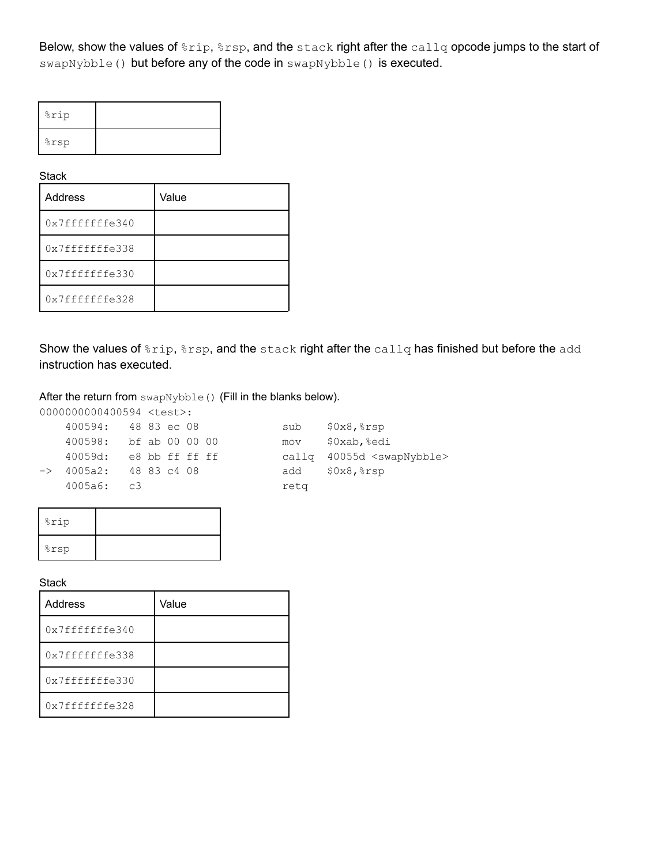Below, show the values of  $r_{\text{trip}}$ ,  $r_{\text{ssp}}$ , and the stack right after the callq opcode jumps to the start of swapNybble() but before any of the code in swapNybble() is executed.

| %rip |  |
|------|--|
| %rsp |  |

**Stack** 

| <b>Address</b>  | Value |
|-----------------|-------|
| 0x7fffffffes340 |       |
| 0x7ffffffffe338 |       |
| 0x7ffffffffe330 |       |
| 0x7ffffffffe328 |       |

Show the values of  $r_{\text{trip}}, r_{\text{sep}}$ , and the stack right after the callq has finished but before the add instruction has executed.

After the return from swapNybble() (Fill in the blanks below).

0000000000400594 <test>:

| 400594: 48 83 ec 08               |  |  |      | $sub$ $$0x8,$ $$rsp$                   |
|-----------------------------------|--|--|------|----------------------------------------|
| 400598: bf ab 00 00 00            |  |  | mov  | \$0xab,%edi                            |
| 40059d: e8 bb ff ff ff            |  |  |      | callg 40055d <swapnybble></swapnybble> |
| $\rightarrow$ 4005a2: 48 83 c4 08 |  |  |      | add \$0x8, %rsp                        |
| 4005a6: c3                        |  |  | reta |                                        |
|                                   |  |  |      |                                        |

| %rip |  |
|------|--|
| %rsp |  |

**Stack** 

| <b>Address</b>  | Value |
|-----------------|-------|
| 0x7fffffffes340 |       |
| 0x7ffffffffe338 |       |
| 0x7ffffffffe330 |       |
| 0x7fffffffe328  |       |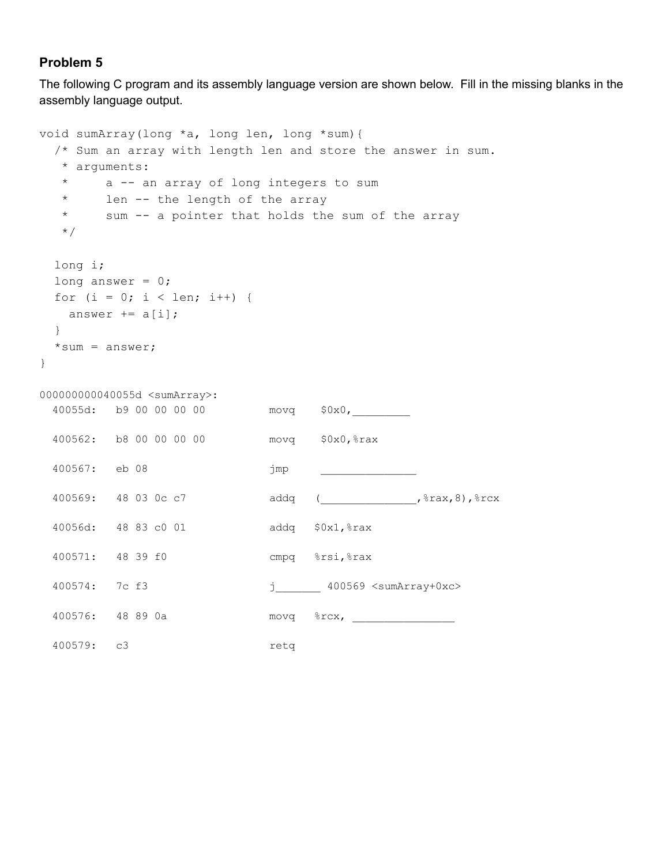The following C program and its assembly language version are shown below. Fill in the missing blanks in the assembly language output.

```
void sumArray(long *a, long len, long *sum){
 /* Sum an array with length len and store the answer in sum.
  * arguments:
  * a -- an array of long integers to sum
  * len -- the length of the array
  * sum -- a pointer that holds the sum of the array
  */
 long i;
 long answer = 0;
 for (i = 0; i < len; i++) {
   answer += a[i];}
 *sum = answer;}
000000000040055d <sumArray>:
 40055d: b9 00 00 00 00 movq $0x0,_________
 400562: b8 00 00 00 00 movq $0x0,%rax
 400567: eb 08 jmp _______________
 400569: 48 03 0c c7 addq ( , *rax,8), *rcx
 40056d: 48 83 c0 01 addq $0x1,%rax
 400571: 48 39 f0 cmpq %rsi,%rax
 400574: 7c f3 juni 400569 <sumArray+0xc>
 400576: 48 89 0a               movq     %rcx, __________________________________
 400579: c3 retq
```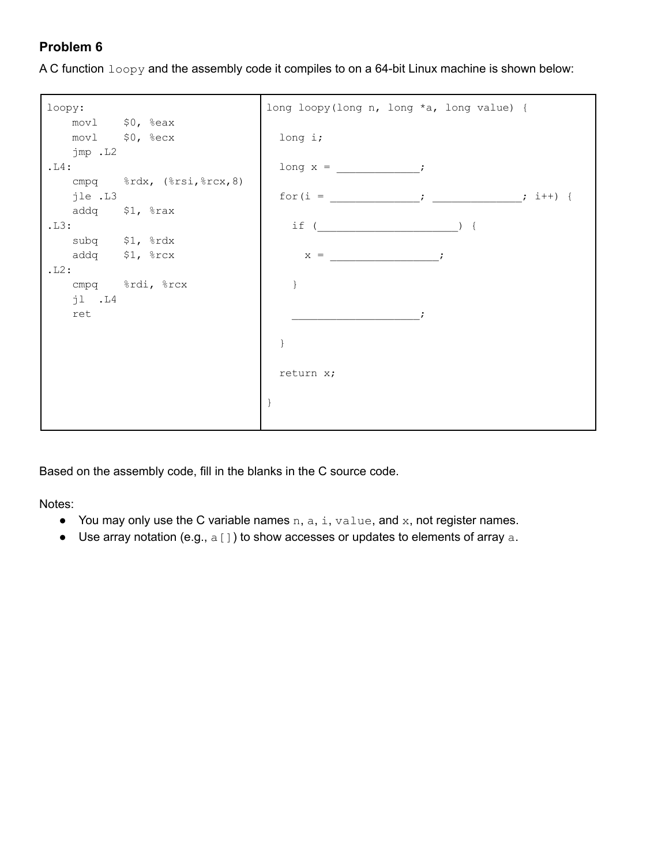A C function  $logy$  and the assembly code it compiles to on a 64-bit Linux machine is shown below:



Based on the assembly code, fill in the blanks in the C source code.

Notes:

- You may only use the C variable names  $n, a, i, value, and x, not register names.$
- Use array notation (e.g.,  $a[]$ ) to show accesses or updates to elements of array  $a$ .